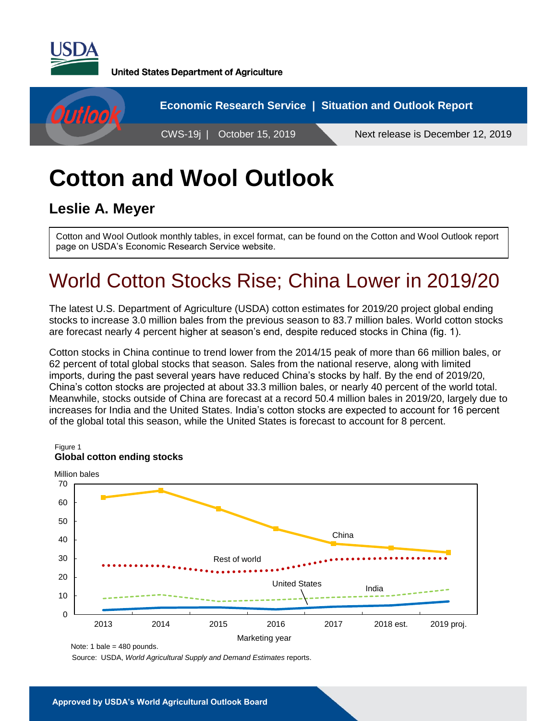

**United States Department of Agriculture** 



# **Cotton and Wool Outlook**

### **Leslie A. Meyer**

Cotton and Wool Outlook monthly tables, in excel format, can be found on the Cotton and Wool Outlook report page on USDA's Economic Research Service website.

## World Cotton Stocks Rise; China Lower in 2019/20

The latest U.S. Department of Agriculture (USDA) cotton estimates for 2019/20 project global ending stocks to increase 3.0 million bales from the previous season to 83.7 million bales. World cotton stocks are forecast nearly 4 percent higher at season's end, despite reduced stocks in China (fig. 1).

Cotton stocks in China continue to trend lower from the 2014/15 peak of more than 66 million bales, or 62 percent of total global stocks that season. Sales from the national reserve, along with limited imports, during the past several years have reduced China's stocks by half. By the end of 2019/20, China's cotton stocks are projected at about 33.3 million bales, or nearly 40 percent of the world total. Meanwhile, stocks outside of China are forecast at a record 50.4 million bales in 2019/20, largely due to increases for India and the United States. India's cotton stocks are expected to account for 16 percent of the global total this season, while the United States is forecast to account for 8 percent.



Note: 1 bale = 480 pounds.

Source: USDA, *World Agricultural Supply and Demand Estimates* reports.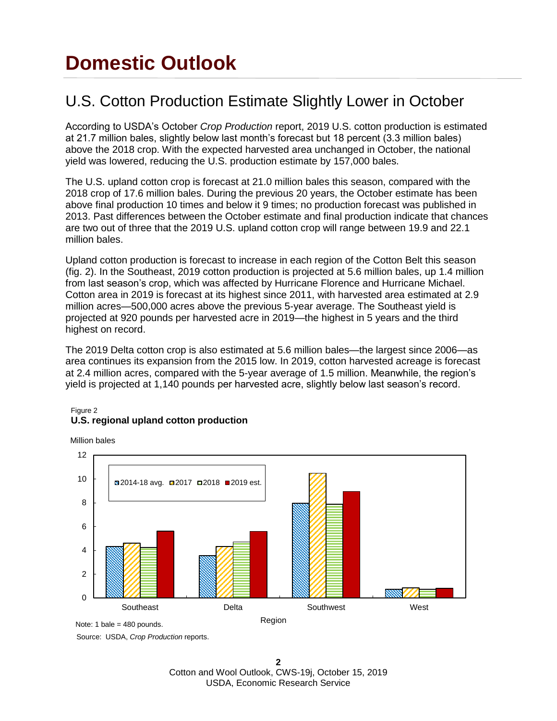## **Domestic Outlook**

### U.S. Cotton Production Estimate Slightly Lower in October

According to USDA's October *Crop Production* report, 2019 U.S. cotton production is estimated at 21.7 million bales, slightly below last month's forecast but 18 percent (3.3 million bales) above the 2018 crop. With the expected harvested area unchanged in October, the national yield was lowered, reducing the U.S. production estimate by 157,000 bales.

The U.S. upland cotton crop is forecast at 21.0 million bales this season, compared with the 2018 crop of 17.6 million bales. During the previous 20 years, the October estimate has been above final production 10 times and below it 9 times; no production forecast was published in 2013. Past differences between the October estimate and final production indicate that chances are two out of three that the 2019 U.S. upland cotton crop will range between 19.9 and 22.1 million bales.

Upland cotton production is forecast to increase in each region of the Cotton Belt this season (fig. 2). In the Southeast, 2019 cotton production is projected at 5.6 million bales, up 1.4 million from last season's crop, which was affected by Hurricane Florence and Hurricane Michael. Cotton area in 2019 is forecast at its highest since 2011, with harvested area estimated at 2.9 million acres—500,000 acres above the previous 5-year average. The Southeast yield is projected at 920 pounds per harvested acre in 2019—the highest in 5 years and the third highest on record.

The 2019 Delta cotton crop is also estimated at 5.6 million bales—the largest since 2006—as area continues its expansion from the 2015 low. In 2019, cotton harvested acreage is forecast at 2.4 million acres, compared with the 5-year average of 1.5 million. Meanwhile, the region's yield is projected at 1,140 pounds per harvested acre, slightly below last season's record.

#### Figure 2 **U.S. regional upland cotton production**

Million bales



Source: USDA, *Crop Production* reports.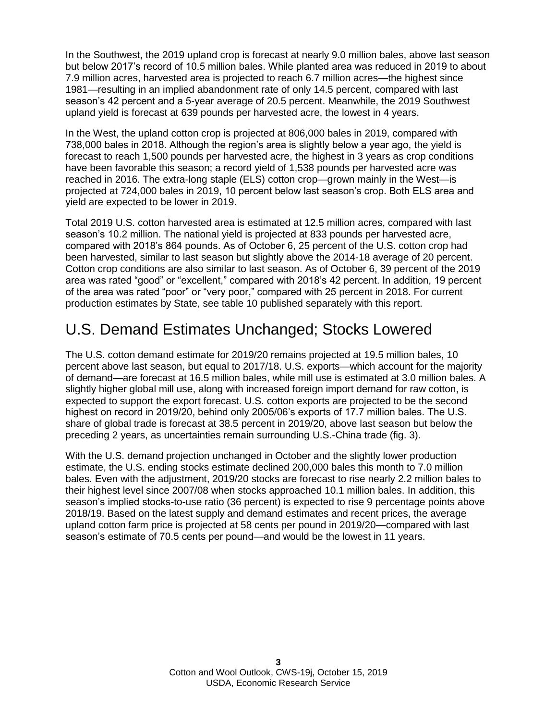In the Southwest, the 2019 upland crop is forecast at nearly 9.0 million bales, above last season but below 2017's record of 10.5 million bales. While planted area was reduced in 2019 to about 7.9 million acres, harvested area is projected to reach 6.7 million acres—the highest since 1981—resulting in an implied abandonment rate of only 14.5 percent, compared with last season's 42 percent and a 5-year average of 20.5 percent. Meanwhile, the 2019 Southwest upland yield is forecast at 639 pounds per harvested acre, the lowest in 4 years.

In the West, the upland cotton crop is projected at 806,000 bales in 2019, compared with 738,000 bales in 2018. Although the region's area is slightly below a year ago, the yield is forecast to reach 1,500 pounds per harvested acre, the highest in 3 years as crop conditions have been favorable this season; a record yield of 1,538 pounds per harvested acre was reached in 2016. The extra-long staple (ELS) cotton crop—grown mainly in the West—is projected at 724,000 bales in 2019, 10 percent below last season's crop. Both ELS area and yield are expected to be lower in 2019.

Total 2019 U.S. cotton harvested area is estimated at 12.5 million acres, compared with last season's 10.2 million. The national yield is projected at 833 pounds per harvested acre, compared with 2018's 864 pounds. As of October 6, 25 percent of the U.S. cotton crop had been harvested, similar to last season but slightly above the 2014-18 average of 20 percent. Cotton crop conditions are also similar to last season. As of October 6, 39 percent of the 2019 area was rated "good" or "excellent," compared with 2018's 42 percent. In addition, 19 percent of the area was rated "poor" or "very poor," compared with 25 percent in 2018. For current production estimates by State, see table 10 published separately with this report.

### U.S. Demand Estimates Unchanged; Stocks Lowered

The U.S. cotton demand estimate for 2019/20 remains projected at 19.5 million bales, 10 percent above last season, but equal to 2017/18. U.S. exports—which account for the majority of demand—are forecast at 16.5 million bales, while mill use is estimated at 3.0 million bales. A slightly higher global mill use, along with increased foreign import demand for raw cotton, is expected to support the export forecast. U.S. cotton exports are projected to be the second highest on record in 2019/20, behind only 2005/06's exports of 17.7 million bales. The U.S. share of global trade is forecast at 38.5 percent in 2019/20, above last season but below the preceding 2 years, as uncertainties remain surrounding U.S.-China trade (fig. 3).

With the U.S. demand projection unchanged in October and the slightly lower production estimate, the U.S. ending stocks estimate declined 200,000 bales this month to 7.0 million bales. Even with the adjustment, 2019/20 stocks are forecast to rise nearly 2.2 million bales to their highest level since 2007/08 when stocks approached 10.1 million bales. In addition, this season's implied stocks-to-use ratio (36 percent) is expected to rise 9 percentage points above 2018/19. Based on the latest supply and demand estimates and recent prices, the average upland cotton farm price is projected at 58 cents per pound in 2019/20—compared with last season's estimate of 70.5 cents per pound—and would be the lowest in 11 years.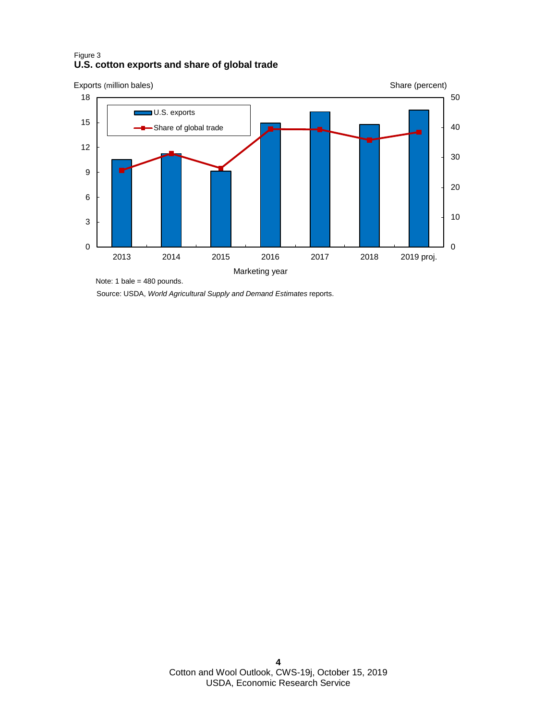#### Figure 3 **U.S. cotton exports and share of global trade**



Source: USDA, *World Agricultural Supply and Demand Estimates* reports. Note: 1 bale = 480 pounds.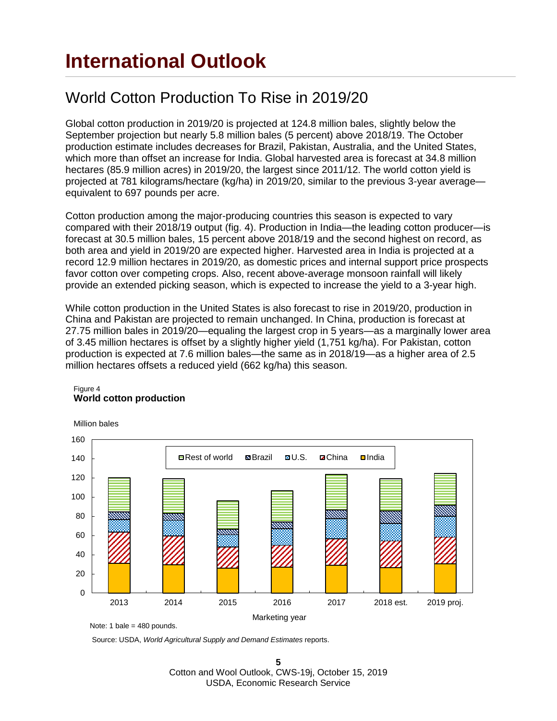## **International Outlook**

### World Cotton Production To Rise in 2019/20

Global cotton production in 2019/20 is projected at 124.8 million bales, slightly below the September projection but nearly 5.8 million bales (5 percent) above 2018/19. The October production estimate includes decreases for Brazil, Pakistan, Australia, and the United States, which more than offset an increase for India. Global harvested area is forecast at 34.8 million hectares (85.9 million acres) in 2019/20, the largest since 2011/12. The world cotton yield is projected at 781 kilograms/hectare (kg/ha) in 2019/20, similar to the previous 3-year average equivalent to 697 pounds per acre.

Cotton production among the major-producing countries this season is expected to vary compared with their 2018/19 output (fig. 4). Production in India—the leading cotton producer—is forecast at 30.5 million bales, 15 percent above 2018/19 and the second highest on record, as both area and yield in 2019/20 are expected higher. Harvested area in India is projected at a record 12.9 million hectares in 2019/20, as domestic prices and internal support price prospects favor cotton over competing crops. Also, recent above-average monsoon rainfall will likely provide an extended picking season, which is expected to increase the yield to a 3-year high.

While cotton production in the United States is also forecast to rise in 2019/20, production in China and Pakistan are projected to remain unchanged. In China, production is forecast at 27.75 million bales in 2019/20—equaling the largest crop in 5 years—as a marginally lower area of 3.45 million hectares is offset by a slightly higher yield (1,751 kg/ha). For Pakistan, cotton production is expected at 7.6 million bales—the same as in 2018/19—as a higher area of 2.5 million hectares offsets a reduced yield (662 kg/ha) this season.



#### Figure 4 **World cotton production**

Note: 1 bale =  $480$  pounds.

Source: USDA, *World Agricultural Supply and Demand Estimates* reports.

**5** Cotton and Wool Outlook, CWS-19j, October 15, 2019 USDA, Economic Research Service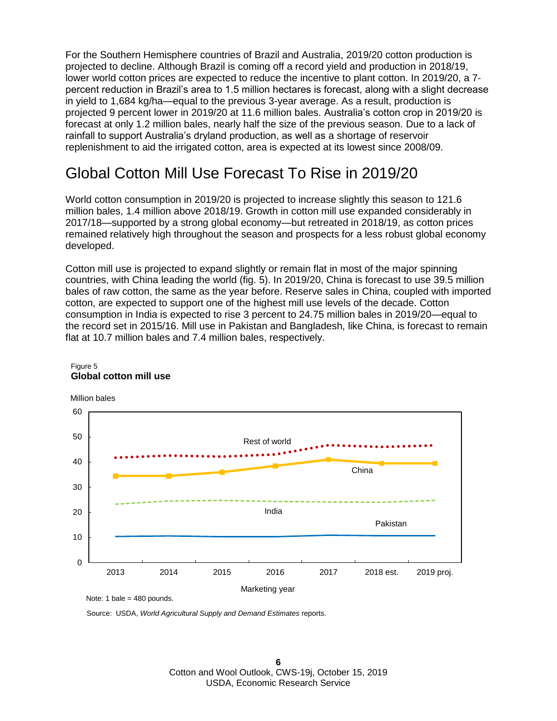For the Southern Hemisphere countries of Brazil and Australia, 2019/20 cotton production is projected to decline. Although Brazil is coming off a record yield and production in 2018/19, lower world cotton prices are expected to reduce the incentive to plant cotton. In 2019/20, a 7 percent reduction in Brazil's area to 1.5 million hectares is forecast, along with a slight decrease in yield to 1,684 kg/ha—equal to the previous 3-year average. As a result, production is projected 9 percent lower in 2019/20 at 11.6 million bales. Australia's cotton crop in 2019/20 is forecast at only 1.2 million bales, nearly half the size of the previous season. Due to a lack of rainfall to support Australia's dryland production, as well as a shortage of reservoir replenishment to aid the irrigated cotton, area is expected at its lowest since 2008/09.

### Global Cotton Mill Use Forecast To Rise in 2019/20

World cotton consumption in 2019/20 is projected to increase slightly this season to 121.6 million bales, 1.4 million above 2018/19. Growth in cotton mill use expanded considerably in 2017/18—supported by a strong global economy—but retreated in 2018/19, as cotton prices remained relatively high throughout the season and prospects for a less robust global economy developed.

Cotton mill use is projected to expand slightly or remain flat in most of the major spinning countries, with China leading the world (fig. 5). In 2019/20, China is forecast to use 39.5 million bales of raw cotton, the same as the year before. Reserve sales in China, coupled with imported cotton, are expected to support one of the highest mill use levels of the decade. Cotton consumption in India is expected to rise 3 percent to 24.75 million bales in 2019/20—equal to the record set in 2015/16. Mill use in Pakistan and Bangladesh, like China, is forecast to remain flat at 10.7 million bales and 7.4 million bales, respectively.



#### Figure 5 **Global cotton mill use**

Source: USDA, *World Agricultural Supply and Demand Estimates* reports.